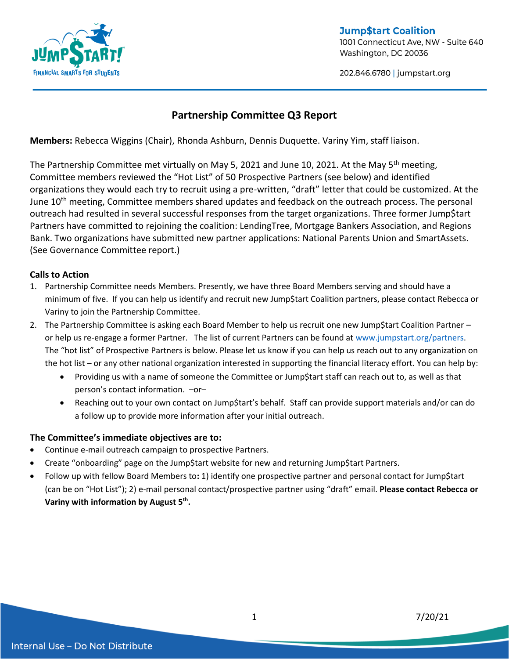

**Jump\$tart Coalition** 1001 Connecticut Ave, NW - Suite 640 Washington, DC 20036

202.846.6780 | jumpstart.org

## **Partnership Committee Q3 Report**

**Members:** Rebecca Wiggins (Chair), Rhonda Ashburn, Dennis Duquette. Variny Yim, staff liaison.

The Partnership Committee met virtually on May 5, 2021 and June 10, 2021. At the May 5<sup>th</sup> meeting, Committee members reviewed the "Hot List" of 50 Prospective Partners (see below) and identified organizations they would each try to recruit using a pre-written, "draft" letter that could be customized. At the June 10<sup>th</sup> meeting, Committee members shared updates and feedback on the outreach process. The personal outreach had resulted in several successful responses from the target organizations. Three former Jump\$tart Partners have committed to rejoining the coalition: LendingTree, Mortgage Bankers Association, and Regions Bank. Two organizations have submitted new partner applications: National Parents Union and SmartAssets. (See Governance Committee report.)

#### **Calls to Action**

- 1. Partnership Committee needs Members. Presently, we have three Board Members serving and should have a minimum of five. If you can help us identify and recruit new Jump\$tart Coalition partners, please contact Rebecca or Variny to join the Partnership Committee.
- 2. The Partnership Committee is asking each Board Member to help us recruit one new Jump\$tart Coalition Partner or help us re-engage a former Partner. The list of current Partners can be found at [www.jumpstart.org/partners.](http://www.jumpstart.org/partners) The "hot list" of Prospective Partners is below. Please let us know if you can help us reach out to any organization on the hot list – or any other national organization interested in supporting the financial literacy effort. You can help by:
	- Providing us with a name of someone the Committee or Jump\$tart staff can reach out to, as well as that person's contact information. –or–
	- Reaching out to your own contact on Jump\$tart's behalf. Staff can provide support materials and/or can do a follow up to provide more information after your initial outreach.

#### **The Committee's immediate objectives are to:**

- Continue e-mail outreach campaign to prospective Partners.
- Create "onboarding" page on the Jump\$tart website for new and returning Jump\$tart Partners.
- Follow up with fellow Board Members to**:** 1) identify one prospective partner and personal contact for Jump\$tart (can be on "Hot List"); 2) e-mail personal contact/prospective partner using "draft" email. **Please contact Rebecca or Variny with information by August 5th .**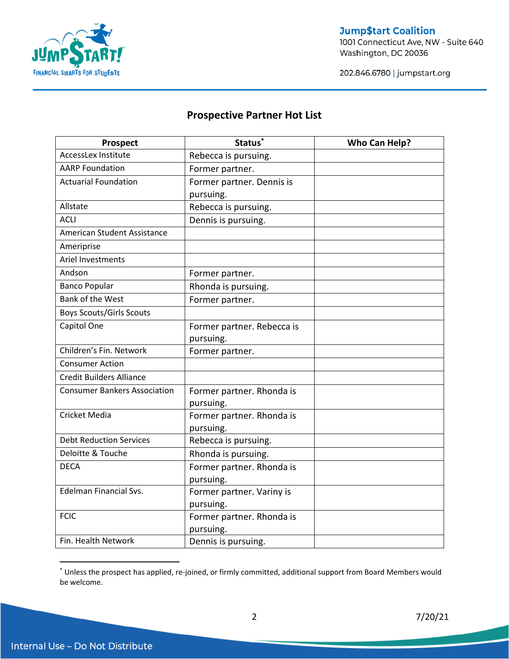

## **Jump\$tart Coalition**

1001 Connecticut Ave, NW - Suite 640 Washington, DC 20036

202.846.6780 | jumpstart.org

## **Prospective Partner Hot List**

| <b>Prospect</b>                     | Status <sup>*</sup>        | <b>Who Can Help?</b> |
|-------------------------------------|----------------------------|----------------------|
| <b>AccessLex Institute</b>          | Rebecca is pursuing.       |                      |
| <b>AARP Foundation</b>              | Former partner.            |                      |
| <b>Actuarial Foundation</b>         | Former partner. Dennis is  |                      |
|                                     | pursuing.                  |                      |
| Allstate                            | Rebecca is pursuing.       |                      |
| <b>ACLI</b>                         | Dennis is pursuing.        |                      |
| American Student Assistance         |                            |                      |
| Ameriprise                          |                            |                      |
| Ariel Investments                   |                            |                      |
| Andson                              | Former partner.            |                      |
| <b>Banco Popular</b>                | Rhonda is pursuing.        |                      |
| Bank of the West                    | Former partner.            |                      |
| <b>Boys Scouts/Girls Scouts</b>     |                            |                      |
| Capitol One                         | Former partner. Rebecca is |                      |
|                                     | pursuing.                  |                      |
| Children's Fin. Network             | Former partner.            |                      |
| <b>Consumer Action</b>              |                            |                      |
| <b>Credit Builders Alliance</b>     |                            |                      |
| <b>Consumer Bankers Association</b> | Former partner. Rhonda is  |                      |
|                                     | pursuing.                  |                      |
| <b>Cricket Media</b>                | Former partner. Rhonda is  |                      |
|                                     | pursuing.                  |                      |
| <b>Debt Reduction Services</b>      | Rebecca is pursuing.       |                      |
| Deloitte & Touche                   | Rhonda is pursuing.        |                      |
| <b>DECA</b>                         | Former partner. Rhonda is  |                      |
|                                     | pursuing.                  |                      |
| <b>Edelman Financial Svs.</b>       | Former partner. Variny is  |                      |
|                                     | pursuing.                  |                      |
| <b>FCIC</b>                         | Former partner. Rhonda is  |                      |
|                                     | pursuing.                  |                      |
| Fin. Health Network                 | Dennis is pursuing.        |                      |

<sup>\*</sup> Unless the prospect has applied, re-joined, or firmly committed, additional support from Board Members would be welcome.

 $\overline{a}$